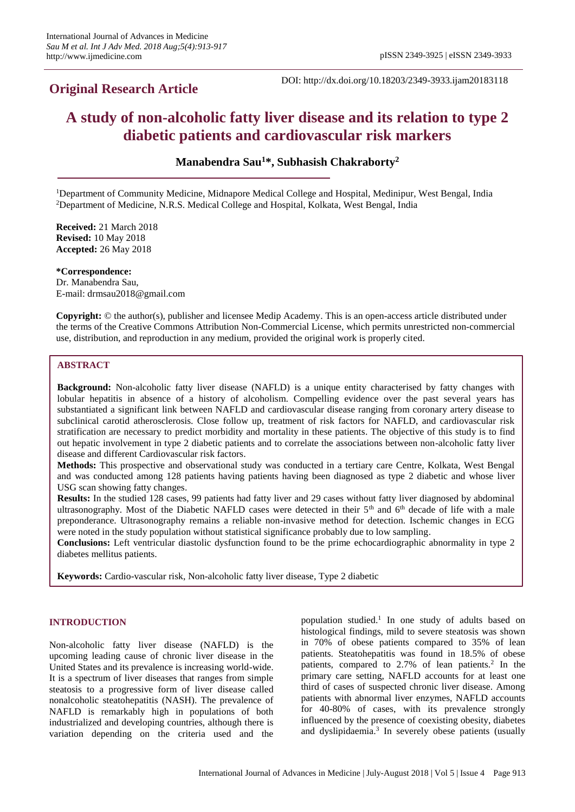## **Original Research Article**

DOI: http://dx.doi.org/10.18203/2349-3933.ijam20183118

# **A study of non-alcoholic fatty liver disease and its relation to type 2 diabetic patients and cardiovascular risk markers**

**Manabendra Sau<sup>1</sup>\*, Subhasish Chakraborty<sup>2</sup>**

<sup>1</sup>Department of Community Medicine, Midnapore Medical College and Hospital, Medinipur, West Bengal, India <sup>2</sup>Department of Medicine, N.R.S. Medical College and Hospital, Kolkata, West Bengal, India

**Received:** 21 March 2018 **Revised:** 10 May 2018 **Accepted:** 26 May 2018

**\*Correspondence:** Dr. Manabendra Sau, E-mail: drmsau2018@gmail.com

**Copyright:** © the author(s), publisher and licensee Medip Academy. This is an open-access article distributed under the terms of the Creative Commons Attribution Non-Commercial License, which permits unrestricted non-commercial use, distribution, and reproduction in any medium, provided the original work is properly cited.

### **ABSTRACT**

**Background:** Non-alcoholic fatty liver disease (NAFLD) is a unique entity characterised by fatty changes with lobular hepatitis in absence of a history of alcoholism. Compelling evidence over the past several years has substantiated a significant link between NAFLD and cardiovascular disease ranging from coronary artery disease to subclinical carotid atherosclerosis. Close follow up, treatment of risk factors for NAFLD, and cardiovascular risk stratification are necessary to predict morbidity and mortality in these patients. The objective of this study is to find out hepatic involvement in type 2 diabetic patients and to correlate the associations between non-alcoholic fatty liver disease and different Cardiovascular risk factors.

**Methods:** This prospective and observational study was conducted in a tertiary care Centre, Kolkata, West Bengal and was conducted among 128 patients having patients having been diagnosed as type 2 diabetic and whose liver USG scan showing fatty changes.

**Results:** In the studied 128 cases, 99 patients had fatty liver and 29 cases without fatty liver diagnosed by abdominal ultrasonography. Most of the Diabetic NAFLD cases were detected in their  $5<sup>th</sup>$  and  $6<sup>th</sup>$  decade of life with a male preponderance. Ultrasonography remains a reliable non-invasive method for detection. Ischemic changes in ECG were noted in the study population without statistical significance probably due to low sampling.

**Conclusions:** Left ventricular diastolic dysfunction found to be the prime echocardiographic abnormality in type 2 diabetes mellitus patients.

**Keywords:** Cardio-vascular risk, Non-alcoholic fatty liver disease, Type 2 diabetic

### **INTRODUCTION**

Non-alcoholic fatty liver disease (NAFLD) is the upcoming leading cause of chronic liver disease in the United States and its prevalence is increasing world-wide. It is a spectrum of liver diseases that ranges from simple steatosis to a progressive form of liver disease called nonalcoholic steatohepatitis (NASH). The prevalence of NAFLD is remarkably high in populations of both industrialized and developing countries, although there is variation depending on the criteria used and the

population studied. $<sup>1</sup>$  In one study of adults based on</sup> histological findings, mild to severe steatosis was shown in 70% of obese patients compared to 35% of lean patients. Steatohepatitis was found in 18.5% of obese patients, compared to 2.7% of lean patients.<sup>2</sup> In the primary care setting, NAFLD accounts for at least one third of cases of suspected chronic liver disease. Among patients with abnormal liver enzymes, NAFLD accounts for 40-80% of cases, with its prevalence strongly influenced by the presence of coexisting obesity, diabetes and dyslipidaemia.<sup>3</sup> In severely obese patients (usually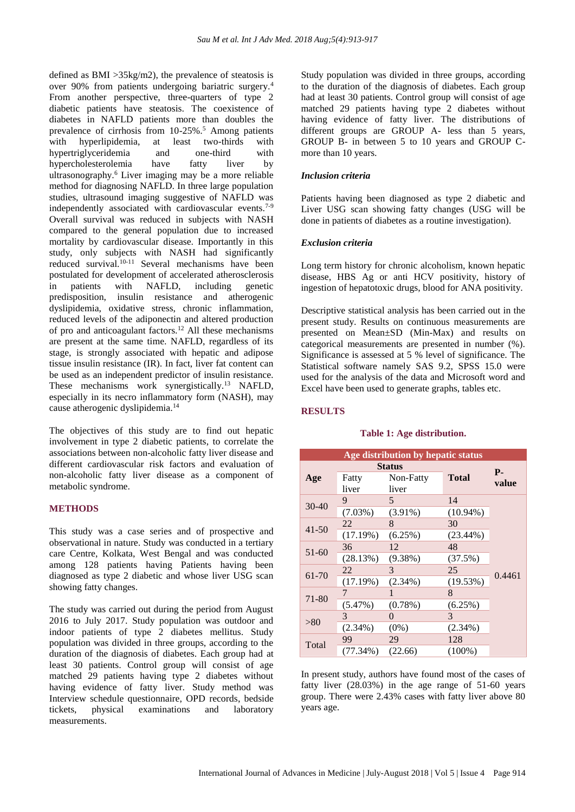defined as BMI >35kg/m2), the prevalence of steatosis is over 90% from patients undergoing bariatric surgery.<sup>4</sup> From another perspective, three-quarters of type 2 diabetic patients have steatosis. The coexistence of diabetes in NAFLD patients more than doubles the prevalence of cirrhosis from 10-25%.<sup>5</sup> Among patients with hyperlipidemia, at least two-thirds with<br>hypertriglyceridemia and one-third with hypertriglyceridemia and one-third with<br>hypercholesterolemia have fatty liver by hypercholesterolemia have fatty liver by ultrasonography.<sup>6</sup> Liver imaging may be a more reliable method for diagnosing NAFLD. In three large population studies, ultrasound imaging suggestive of NAFLD was independently associated with cardiovascular events.<sup>7-9</sup> Overall survival was reduced in subjects with NASH compared to the general population due to increased mortality by cardiovascular disease. Importantly in this study, only subjects with NASH had significantly reduced survival.<sup>10-11</sup> Several mechanisms have been postulated for development of accelerated atherosclerosis in patients with NAFLD, including genetic predisposition, insulin resistance and atherogenic dyslipidemia, oxidative stress, chronic inflammation, reduced levels of the adiponectin and altered production of pro and anticoagulant factors.<sup>12</sup> All these mechanisms are present at the same time. NAFLD, regardless of its stage, is strongly associated with hepatic and adipose tissue insulin resistance (IR). In fact, liver fat content can be used as an independent predictor of insulin resistance. These mechanisms work synergistically.<sup>13</sup> NAFLD, especially in its necro inflammatory form (NASH), may cause atherogenic dyslipidemia.<sup>14</sup>

The objectives of this study are to find out hepatic involvement in type 2 diabetic patients, to correlate the associations between non-alcoholic fatty liver disease and different cardiovascular risk factors and evaluation of non-alcoholic fatty liver disease as a component of metabolic syndrome.

### **METHODS**

This study was a case series and of prospective and observational in nature. Study was conducted in a tertiary care Centre, Kolkata, West Bengal and was conducted among 128 patients having Patients having been diagnosed as type 2 diabetic and whose liver USG scan showing fatty changes.

The study was carried out during the period from August 2016 to July 2017. Study population was outdoor and indoor patients of type 2 diabetes mellitus. Study population was divided in three groups, according to the duration of the diagnosis of diabetes. Each group had at least 30 patients. Control group will consist of age matched 29 patients having type 2 diabetes without having evidence of fatty liver. Study method was Interview schedule questionnaire, OPD records, bedside tickets, physical examinations and laboratory measurements.

Study population was divided in three groups, according to the duration of the diagnosis of diabetes. Each group had at least 30 patients. Control group will consist of age matched 29 patients having type 2 diabetes without having evidence of fatty liver. The distributions of different groups are GROUP A- less than 5 years, GROUP B- in between 5 to 10 years and GROUP Cmore than 10 years.

### *Inclusion criteria*

Patients having been diagnosed as type 2 diabetic and Liver USG scan showing fatty changes (USG will be done in patients of diabetes as a routine investigation).

#### *Exclusion criteria*

Long term history for chronic alcoholism, known hepatic disease, HBS Ag or anti HCV positivity, history of ingestion of hepatotoxic drugs, blood for ANA positivity.

Descriptive statistical analysis has been carried out in the present study. Results on continuous measurements are presented on Mean±SD (Min-Max) and results on categorical measurements are presented in number (%). Significance is assessed at 5 % level of significance. The Statistical software namely SAS 9.2, SPSS 15.0 were used for the analysis of the data and Microsoft word and Excel have been used to generate graphs, tables etc.

### **RESULTS**

### **Table 1: Age distribution.**

| Age distribution by hepatic status |            |               |              |            |  |  |
|------------------------------------|------------|---------------|--------------|------------|--|--|
|                                    |            | <b>Status</b> |              | <b>P</b> - |  |  |
| Age                                | Fatty      | Non-Fatty     | <b>Total</b> | value      |  |  |
|                                    | liver      | liver         |              |            |  |  |
|                                    | 9          | 5             | 14           |            |  |  |
| 30-40                              | $(7.03\%)$ | $(3.91\%)$    | $(10.94\%)$  |            |  |  |
|                                    | 22         | 8             | 30           |            |  |  |
| $41 - 50$                          | (17.19%)   | (6.25%)       | $(23.44\%)$  |            |  |  |
| 51-60                              | 36         | 12            | 48           |            |  |  |
|                                    | (28.13%)   | $(9.38\%)$    | (37.5%)      |            |  |  |
| 61-70                              | 22         | 3             | 25           | 0.4461     |  |  |
|                                    | (17.19%)   | $(2.34\%)$    | (19.53%)     |            |  |  |
| 71-80                              | 7          |               | 8            |            |  |  |
|                                    | (5.47%)    | $(0.78\%)$    | (6.25%)      |            |  |  |
| > 80                               | 3          | $\theta$      | 3            |            |  |  |
|                                    | $(2.34\%)$ | $(0\%)$       | $(2.34\%)$   |            |  |  |
| Total                              | 99         | 29            | 128          |            |  |  |
|                                    | (77.34%)   | (22.66)       | $(100\%)$    |            |  |  |

In present study, authors have found most of the cases of fatty liver (28.03%) in the age range of 51-60 years group. There were 2.43% cases with fatty liver above 80 years age.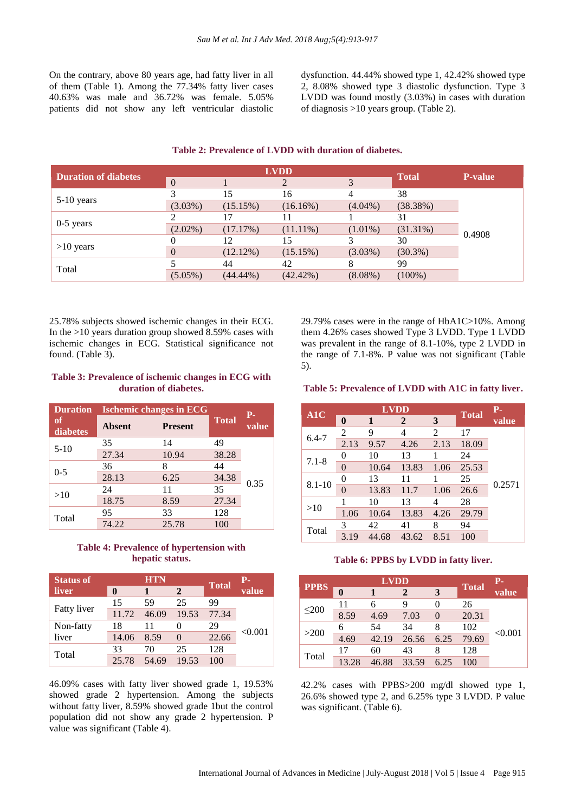On the contrary, above 80 years age, had fatty liver in all of them (Table 1). Among the 77.34% fatty liver cases 40.63% was male and 36.72% was female. 5.05% patients did not show any left ventricular diastolic dysfunction. 44.44% showed type 1, 42.42% showed type 2, 8.08% showed type 3 diastolic dysfunction. Type 3 LVDD was found mostly (3.03%) in cases with duration of diagnosis >10 years group. (Table 2).

| <b>Duration of diabetes</b> | <b>LVDD</b>    |             |                |            | <b>Total</b> | <b>P-value</b> |
|-----------------------------|----------------|-------------|----------------|------------|--------------|----------------|
|                             | $\overline{0}$ |             | $\overline{2}$ | 3          |              |                |
|                             |                | 15          | 16             |            | 38           |                |
| 5-10 years                  | $(3.03\%)$     | (15.15%)    | (16.16%)       | $(4.04\%)$ | (38.38%)     |                |
|                             |                | 17          |                |            | 31           | 0.4908         |
| $0-5$ years                 | $(2.02\%)$     | (17.17%)    | $(11.11\%)$    | $(1.01\%)$ | $(31.31\%)$  |                |
|                             |                | 12          | 15             |            | 30           |                |
| $>10$ years                 | $\theta$       | (12.12%)    | (15.15%)       | $(3.03\%)$ | $(30.3\%)$   |                |
|                             |                | 44          | 42             |            | 99           |                |
| Total                       | $(5.05\%)$     | $(44.44\%)$ | $(42.42\%)$    | $(8.08\%)$ | $(100\%)$    |                |

### **Table 2: Prevalence of LVDD with duration of diabetes.**

25.78% subjects showed ischemic changes in their ECG. In the  $>10$  years duration group showed 8.59% cases with ischemic changes in ECG. Statistical significance not found. (Table 3).

### **Table 3: Prevalence of ischemic changes in ECG with duration of diabetes.**

| <b>Duration</b> | <b>Ischemic changes in ECG</b>  |       | $P-$<br>value |              |
|-----------------|---------------------------------|-------|---------------|--------------|
| of<br>diabetes  | <b>Absent</b><br><b>Present</b> |       |               | <b>Total</b> |
|                 | 35                              | 14    | 49            |              |
| $5 - 10$        | 27.34                           | 10.94 | 38.28         |              |
|                 | 36                              |       | 44            |              |
| $0 - 5$         | 28.13                           | 6.25  | 34.38         |              |
|                 | 24                              | 11    | 35            | 0.35         |
| >10             | 18.75                           | 8.59  | 27.34         |              |
|                 | 95                              | 33    | 128           |              |
| Total           | 74.22                           | 25.78 | 100           |              |

### **Table 4: Prevalence of hypertension with hepatic status.**

| <b>Status of</b>   | <b>HTN</b> |       |          | <b>Total</b> | р.      |
|--------------------|------------|-------|----------|--------------|---------|
| liver              |            | 1     | 2        |              | value   |
|                    | 15         | 59    | 25       | 99           | < 0.001 |
| <b>Fatty liver</b> | 11.72      | 46.09 | 19.53    | 77.34        |         |
| Non-fatty<br>liver | 18         | 11    |          | 29           |         |
|                    | 14.06      | 8.59  | $\Omega$ | 22.66        |         |
|                    | 33         | 70    | 25       | 128          |         |
| Total              | 25.78      | 54.69 | 19.53    | 100          |         |

46.09% cases with fatty liver showed grade 1, 19.53% showed grade 2 hypertension. Among the subjects without fatty liver, 8.59% showed grade 1but the control population did not show any grade 2 hypertension. P value was significant (Table 4).

29.79% cases were in the range of HbA1C>10%. Among them 4.26% cases showed Type 3 LVDD. Type 1 LVDD was prevalent in the range of 8.1-10%, type 2 LVDD in the range of 7.1-8%. P value was not significant (Table 5).

### **Table 5: Prevalence of LVDD with A1C in fatty liver.**

| A1C        | <b>LVDD</b> |       |                |      |              | $P-$   |
|------------|-------------|-------|----------------|------|--------------|--------|
|            | $\bf{0}$    | 1     | $\overline{2}$ | 3    | <b>Total</b> | value  |
| $6.4 - 7$  | 2           | 9     | 4              | 2    | 17           |        |
|            | 2.13        | 9.57  | 4.26           | 2.13 | 18.09        |        |
| $7.1 - 8$  | 0           | 10    | 13             |      | 24           | 0.2571 |
|            | 0           | 10.64 | 13.83          | 1.06 | 25.53        |        |
| $8.1 - 10$ | 0           | 13    | 11             |      | 25           |        |
|            | 0           | 13.83 | 11.7           | 1.06 | 26.6         |        |
| >10        |             | 10    | 13             |      | 28           |        |
|            | 1.06        | 10.64 | 13.83          | 4.26 | 29.79        |        |
| Total      | 3           | 42    | 41             | 8    | 94           |        |
|            | 3.19        | 44.68 | 43.62          | 8.51 | 100          |        |

#### **Table 6: PPBS by LVDD in fatty liver.**

| <b>PPBS</b> | <b>LVDD</b>  |       |              |      |              | $P-$    |
|-------------|--------------|-------|--------------|------|--------------|---------|
|             | $\mathbf{0}$ |       | $\mathbf{2}$ | 3    | <b>Total</b> | value   |
| $\leq 200$  | 11           | 6     | 9            |      | 26           |         |
|             | 8.59         | 4.69  | 7.03         |      | 20.31        | < 0.001 |
| >200        |              | 54    | 34           | 8    | 102          |         |
|             | 4.69         | 42.19 | 26.56        | 6.25 | 79.69        |         |
| Total       | 17           | 60    | 43           | 8    | 128          |         |
|             | 13.28        | 46.88 | 33.59        | 6.25 | 100          |         |

42.2% cases with PPBS>200 mg/dl showed type 1, 26.6% showed type 2, and 6.25% type 3 LVDD. P value was significant. (Table 6).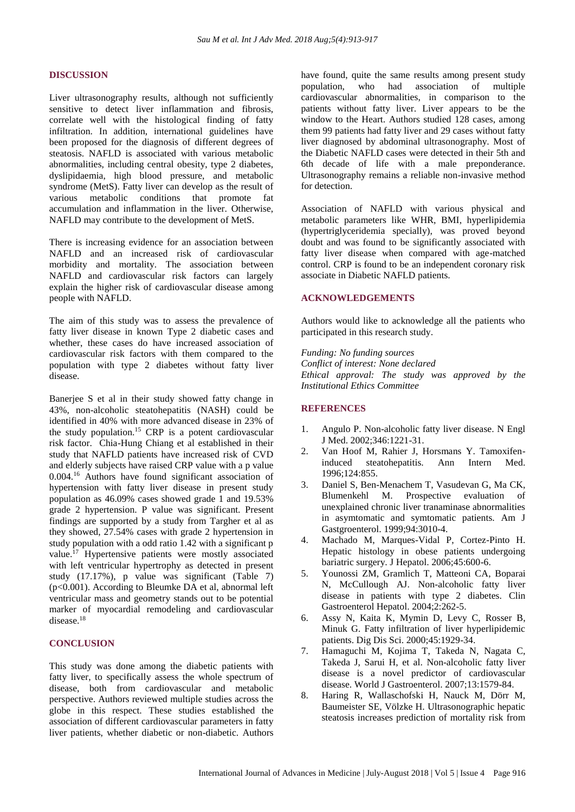### **DISCUSSION**

Liver ultrasonography results, although not sufficiently sensitive to detect liver inflammation and fibrosis, correlate well with the histological finding of fatty infiltration. In addition, international guidelines have been proposed for the diagnosis of different degrees of steatosis. NAFLD is associated with various metabolic abnormalities, including central obesity, type 2 diabetes, dyslipidaemia, high blood pressure, and metabolic syndrome (MetS). Fatty liver can develop as the result of various metabolic conditions that promote fat accumulation and inflammation in the liver. Otherwise, NAFLD may contribute to the development of MetS.

There is increasing evidence for an association between NAFLD and an increased risk of cardiovascular morbidity and mortality. The association between NAFLD and cardiovascular risk factors can largely explain the higher risk of cardiovascular disease among people with NAFLD.

The aim of this study was to assess the prevalence of fatty liver disease in known Type 2 diabetic cases and whether, these cases do have increased association of cardiovascular risk factors with them compared to the population with type 2 diabetes without fatty liver disease.

Banerjee S et al in their study showed fatty change in 43%, non-alcoholic steatohepatitis (NASH) could be identified in 40% with more advanced disease in 23% of the study population.<sup>15</sup> CRP is a potent cardiovascular risk factor. Chia-Hung Chiang et al established in their study that NAFLD patients have increased risk of CVD and elderly subjects have raised CRP value with a p value 0.004.<sup>16</sup> Authors have found significant association of hypertension with fatty liver disease in present study population as 46.09% cases showed grade 1 and 19.53% grade 2 hypertension. P value was significant. Present findings are supported by a study from Targher et al as they showed, 27.54% cases with grade 2 hypertension in study population with a odd ratio 1.42 with a significant p value.<sup>17</sup> Hypertensive patients were mostly associated with left ventricular hypertrophy as detected in present study (17.17%), p value was significant (Table 7) (p<0.001). According to Bleumke DA et al, abnormal left ventricular mass and geometry stands out to be potential marker of myocardial remodeling and cardiovascular disease.<sup>18</sup>

### **CONCLUSION**

This study was done among the diabetic patients with fatty liver, to specifically assess the whole spectrum of disease, both from cardiovascular and metabolic perspective. Authors reviewed multiple studies across the globe in this respect. These studies established the association of different cardiovascular parameters in fatty liver patients, whether diabetic or non-diabetic. Authors have found, quite the same results among present study population, who had association of multiple cardiovascular abnormalities, in comparison to the patients without fatty liver. Liver appears to be the window to the Heart. Authors studied 128 cases, among them 99 patients had fatty liver and 29 cases without fatty liver diagnosed by abdominal ultrasonography. Most of the Diabetic NAFLD cases were detected in their 5th and 6th decade of life with a male preponderance. Ultrasonography remains a reliable non-invasive method for detection.

Association of NAFLD with various physical and metabolic parameters like WHR, BMI, hyperlipidemia (hypertriglyceridemia specially), was proved beyond doubt and was found to be significantly associated with fatty liver disease when compared with age-matched control. CRP is found to be an independent coronary risk associate in Diabetic NAFLD patients.

### **ACKNOWLEDGEMENTS**

Authors would like to acknowledge all the patients who participated in this research study.

*Funding: No funding sources Conflict of interest: None declared Ethical approval: The study was approved by the Institutional Ethics Committee*

### **REFERENCES**

- 1. Angulo P. Non-alcoholic fatty liver disease. N Engl J Med. 2002;346:1221-31.
- 2. Van Hoof M, Rahier J, Horsmans Y. Tamoxifeninduced steatohepatitis. Ann Intern Med. 1996;124:855.
- 3. Daniel S, Ben-Menachem T, Vasudevan G, Ma CK, Blumenkehl M. Prospective evaluation of unexplained chronic liver tranaminase abnormalities in asymtomatic and symtomatic patients. Am J Gastgroenterol. 1999;94:3010-4.
- 4. Machado M, Marques-Vidal P, Cortez-Pinto H. Hepatic histology in obese patients undergoing bariatric surgery. J Hepatol. 2006;45:600-6.
- 5. Younossi ZM, Gramlich T, Matteoni CA, Boparai N, McCullough AJ. Non-alcoholic fatty liver disease in patients with type 2 diabetes. Clin Gastroenterol Hepatol. 2004;2:262-5.
- 6. Assy N, Kaita K, Mymin D, Levy C, Rosser B, Minuk G. Fatty infiltration of liver hyperlipidemic patients. Dig Dis Sci. 2000;45:1929-34.
- 7. Hamaguchi M, Kojima T, Takeda N, Nagata C, Takeda J, Sarui H, et al. Non-alcoholic fatty liver disease is a novel predictor of cardiovascular disease. World J Gastroenterol. 2007;13:1579-84.
- 8. Haring R, Wallaschofski H, Nauck M, Dörr M, Baumeister SE, Völzke H. Ultrasonographic hepatic steatosis increases prediction of mortality risk from